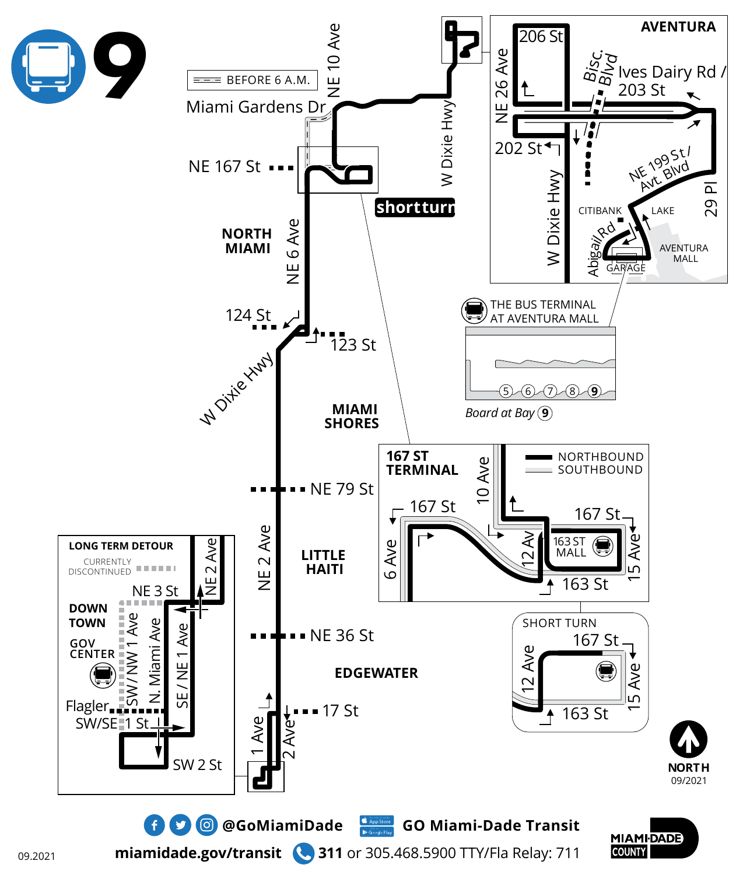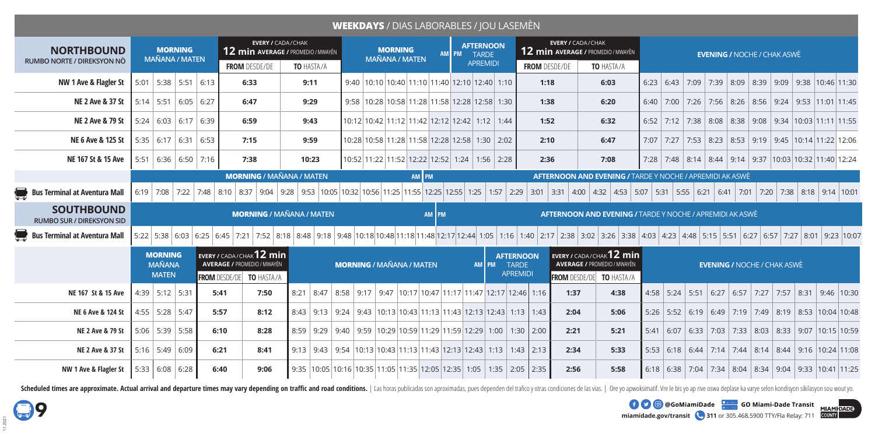## **WEEKDAYS** / DIAS LABORABLES / JOU LASEMÈN

| <b>NORTHBOUND</b>                                     | <b>MORNING</b><br><b>MAÑANA / MATEN</b>         |                       | <b>EVERY / CADA/CHAK</b><br>12 min AVERAGE / PROMEDIO / MWAYÈN |                                                                                                                                                                                                                         |                                                                                                                 |  |                                 | <b>MORNING</b><br><b>MAÑANA / MATEN</b>                       |       |  |  | <b>AFTERNOON</b><br>AM PM TARDE |                                                     |  |                      |                                                                                                              | <b>EVERY / CADA/CHAK</b><br>12 min AVERAGE / PROMEDIO / MWAYÈN                    |  |  | <b>EVENING / NOCHE / CHAK ASWE</b>                              |                                    |  |  |                                                       |  |                                                                           |  |  |  |  |
|-------------------------------------------------------|-------------------------------------------------|-----------------------|----------------------------------------------------------------|-------------------------------------------------------------------------------------------------------------------------------------------------------------------------------------------------------------------------|-----------------------------------------------------------------------------------------------------------------|--|---------------------------------|---------------------------------------------------------------|-------|--|--|---------------------------------|-----------------------------------------------------|--|----------------------|--------------------------------------------------------------------------------------------------------------|-----------------------------------------------------------------------------------|--|--|-----------------------------------------------------------------|------------------------------------|--|--|-------------------------------------------------------|--|---------------------------------------------------------------------------|--|--|--|--|
| RUMBO NORTE / DIREKSYON NÒ                            |                                                 |                       |                                                                | <b>FROM DESDE/DE</b>                                                                                                                                                                                                    | <b>TO HASTA/A</b>                                                                                               |  |                                 |                                                               |       |  |  | <b>APREMIDI</b>                 |                                                     |  | <b>FROM</b> DESDE/DE |                                                                                                              | TO HASTA/A                                                                        |  |  |                                                                 |                                    |  |  |                                                       |  |                                                                           |  |  |  |  |
| NW 1 Ave & Flagler St                                 |                                                 | $5:01$ 5:38 5:51 6:13 |                                                                | 6:33                                                                                                                                                                                                                    | 9:11                                                                                                            |  |                                 | $9:40$   10:10   10:40   11:10   11:40   12:10   12:40   1:10 |       |  |  |                                 |                                                     |  | 1:18                 |                                                                                                              | 6:03                                                                              |  |  |                                                                 |                                    |  |  |                                                       |  | $6:23$   $6:43$   7:09   7:39   8:09   8:39   9:09   9:38   10:46   11:30 |  |  |  |  |
| <b>NE 2 Ave &amp; 37 St</b>                           |                                                 | $5:14$ 5:51 6:05 6:27 |                                                                | 6:47                                                                                                                                                                                                                    | 9:29                                                                                                            |  |                                 | 9:58   10:28   10:58   11:28   11:58   12:28   12:58   1:30   |       |  |  |                                 |                                                     |  | 1:38                 |                                                                                                              | 6:20                                                                              |  |  |                                                                 |                                    |  |  |                                                       |  | $6:40$   7:00   7:26   7:56   8:26   8:56   9:24   9:53   11:01   11:45   |  |  |  |  |
| <b>NE 2 Ave &amp; 79 St</b>                           |                                                 | $5:24$ 6:03 6:17 6:39 |                                                                | 6:59                                                                                                                                                                                                                    | 9:43                                                                                                            |  |                                 | 10:12 10:42 11:12 11:42 12:12 12:42 1:12 1:44                 |       |  |  |                                 |                                                     |  | 1:52                 |                                                                                                              | 6:32                                                                              |  |  |                                                                 |                                    |  |  |                                                       |  | $6:52$   7:12   7:38   8:08   8:38   9:08   9:34   10:03   11:11   11:55  |  |  |  |  |
| NE 6 Ave & 125 St                                     |                                                 | $5:35$ 6:17 6:31 6:53 |                                                                | 7:15                                                                                                                                                                                                                    | 9:59                                                                                                            |  |                                 | 10:28 10:58 11:28 11:58 12:28 12:58  1:30   2:02              |       |  |  |                                 |                                                     |  | 2:10                 |                                                                                                              | 6:47                                                                              |  |  |                                                                 |                                    |  |  |                                                       |  | 7:07   7:27   7:53   8:23   8:53   9:19   9:45   10:14   11:22   12:06    |  |  |  |  |
| NE 167 St & 15 Ave                                    |                                                 | $5:51$ 6:36 6:50 7:16 |                                                                | 7:38                                                                                                                                                                                                                    | 10:23                                                                                                           |  |                                 | 10:52 11:22 11:52 12:22 12:52 1:24 1:56 2:28                  |       |  |  |                                 |                                                     |  | 2:36                 |                                                                                                              | 7:08                                                                              |  |  |                                                                 |                                    |  |  |                                                       |  | 7:28 7:48 8:14 8:44 9:14 9:37 10:03 10:32 11:40 12:24                     |  |  |  |  |
|                                                       |                                                 |                       |                                                                | <b>MORNING / MAÑANA / MATEN</b>                                                                                                                                                                                         |                                                                                                                 |  |                                 |                                                               | AM PM |  |  |                                 |                                                     |  |                      |                                                                                                              | AFTERNOON AND EVENING / TARDE Y NOCHE / APREMIDI AK ASWÈ                          |  |  |                                                                 |                                    |  |  |                                                       |  |                                                                           |  |  |  |  |
| <b>Bus Terminal at Aventura Mall</b>                  |                                                 |                       |                                                                | 6:19   7:08   7:22   7:48   8:10   8:37   9:04   9:28   9:53   10:05   10:32   10:56   11:25   1:25   12:55   1:25   1:57   2:29                                                                                        |                                                                                                                 |  |                                 |                                                               |       |  |  |                                 |                                                     |  |                      |                                                                                                              | 3:01   3:31   4:00   4:32   4:53   5:07   5:31   5:55   6:21   6:41   7:01   7:20 |  |  |                                                                 |                                    |  |  | 7:38                                                  |  | 8:18 9:14 10:01                                                           |  |  |  |  |
| <b>SOUTHBOUND</b><br><b>RUMBO SUR / DIREKSYON SID</b> | <b>MORNING / MAÑANA / MATEN</b>                 |                       |                                                                |                                                                                                                                                                                                                         |                                                                                                                 |  |                                 | AM PM                                                         |       |  |  |                                 |                                                     |  |                      |                                                                                                              |                                                                                   |  |  | <b>AFTERNOON AND EVENING / TARDE Y NOCHE / APREMIDI AK ASWÈ</b> |                                    |  |  |                                                       |  |                                                                           |  |  |  |  |
| <b>Bus Terminal at Aventura Mall</b>                  |                                                 |                       |                                                                | 5:22 5:38 6:03 6:25 6:27 7:27 8:01 9:27 6:45 7:21 7:52 8:18 8:48 9:18 9:48 10:18 0:48 11:18 11:18 12:17 12:44 1:05 1:16 1:40 2:17 2:38 3:02 3:26 3:38 4:03 4:23 4:03 4:23 4:48 5:15 5:51 6:27 6:57 7:27 8:01 9:23 10:07 |                                                                                                                 |  |                                 |                                                               |       |  |  |                                 |                                                     |  |                      |                                                                                                              |                                                                                   |  |  |                                                                 |                                    |  |  |                                                       |  |                                                                           |  |  |  |  |
|                                                       | <b>MORNING</b><br><b>MAÑANA</b><br><b>MATEN</b> |                       |                                                                | EVERY / CADA/CHAK <sup>12</sup> min<br><b>AVERAGE / PROMEDIO / MWAYÈN</b><br><b>FROM</b> DESDE/DE<br>TO HASTA/A                                                                                                         |                                                                                                                 |  | <b>MORNING / MAÑANA / MATEN</b> |                                                               |       |  |  | AM PM                           | <b>AFTERNOON</b><br><b>TARDE</b><br><b>APREMIDI</b> |  |                      | EVERY / CADA/CHAK <sup>12</sup> min<br><b>AVERAGE / PROMEDIO / MWAYÈN</b><br><b>FROM DESDE/DE</b> TO HASTA/A |                                                                                   |  |  |                                                                 | <b>EVENING / NOCHE / CHAK ASWÈ</b> |  |  |                                                       |  |                                                                           |  |  |  |  |
| NE 167 St & 15 Ave                                    | 4:39 5:12 5:31                                  |                       |                                                                | 5:41<br>7:50                                                                                                                                                                                                            | $8:21$   $8:47$   $8:58$   $9:17$   $9:47$   $10:17$   $10:47$   $11:17$   $11:47$   $12:17$   $12:46$   $1:16$ |  |                                 |                                                               |       |  |  |                                 |                                                     |  |                      | 1:37                                                                                                         | 4:38                                                                              |  |  |                                                                 |                                    |  |  | 4:58   5:24   5:51   6:27   6:57   7:27   7:57   8:31 |  | $9:46$   10:30                                                            |  |  |  |  |
| NE 6 Ave & 124 St                                     | 4:55   5:28   5:47                              |                       |                                                                | 5:57<br>8:12                                                                                                                                                                                                            | $8:43$   9:13   9:24   9:43   10:13   10:43   11:13   11:43   12:13   12:43   1:13                              |  |                                 |                                                               |       |  |  |                                 |                                                     |  | 1:43                 | 2:04                                                                                                         | 5:06                                                                              |  |  |                                                                 |                                    |  |  |                                                       |  | 5:26   5:52   6:19   6:49   7:19   7:49   8:19   8:53  10:04  10:48       |  |  |  |  |
| <b>NE 2 Ave &amp; 79 St</b>                           | $5:06$ 5:39 5:58                                |                       |                                                                | 6:10<br>8:28                                                                                                                                                                                                            | 8:59   9:29   9:40   9:59   10:29   10:59   11:29   11:59   12:29   1:00   1:30   2:00                          |  |                                 |                                                               |       |  |  |                                 |                                                     |  |                      | 2:21                                                                                                         | 5:21                                                                              |  |  |                                                                 |                                    |  |  |                                                       |  | 5:41 6:07 6:33 7:03 7:33 8:03 8:33 9:07 10:15 10:59                       |  |  |  |  |
|                                                       |                                                 |                       |                                                                |                                                                                                                                                                                                                         |                                                                                                                 |  |                                 |                                                               |       |  |  |                                 |                                                     |  |                      |                                                                                                              |                                                                                   |  |  |                                                                 |                                    |  |  |                                                       |  |                                                                           |  |  |  |  |
| <b>NE 2 Ave &amp; 37 St</b>                           | $5:16$ 5:49 6:09                                |                       |                                                                | 6:21<br>8:41                                                                                                                                                                                                            | 9:13   9:43   9:54   10:13   10:43   11:13   11:43   12:13   12:43   1:13   1:43   2:13                         |  |                                 |                                                               |       |  |  |                                 |                                                     |  |                      | 2:34                                                                                                         | 5:33                                                                              |  |  |                                                                 |                                    |  |  |                                                       |  | 5:53   6:18   6:44   7:14   7:44   8:14   8:44   9:16  10:24  11:08       |  |  |  |  |

Scheduled times are approximate. Actual arrival and departure times may vary depending on traffic and road conditions. | Las horas publicadas son aproximadas, pues dependen del trafico y otras condiciones de las vias. | Or

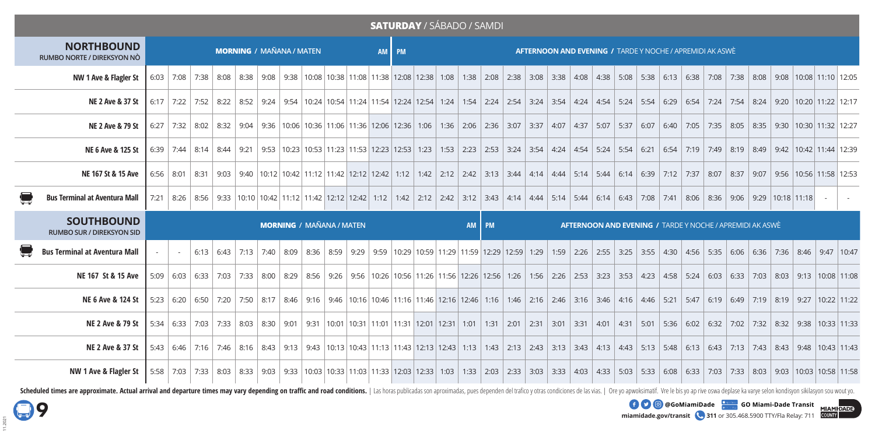|                                                       |                                 |        |  |                             |  |  |  |  |                                 |  |  | <b>SATURDAY / SÁBADO / SAMDI</b>                                                                                                                                                                                               |  |  |       |  |  |  |  |  |  |  |  |  |                                                                 |  |  |  |  |  |
|-------------------------------------------------------|---------------------------------|--------|--|-----------------------------|--|--|--|--|---------------------------------|--|--|--------------------------------------------------------------------------------------------------------------------------------------------------------------------------------------------------------------------------------|--|--|-------|--|--|--|--|--|--|--|--|--|-----------------------------------------------------------------|--|--|--|--|--|
| <b>NORTHBOUND</b><br>RUMBO NORTE / DIREKSYON NÒ       | <b>MORNING / MAÑANA / MATEN</b> |        |  |                             |  |  |  |  |                                 |  |  | AM PM<br><b>AFTERNOON AND EVENING / TARDE Y NOCHE / APREMIDI AK ASWÈ</b>                                                                                                                                                       |  |  |       |  |  |  |  |  |  |  |  |  |                                                                 |  |  |  |  |  |
| NW 1 Ave & Flagler St                                 |                                 |        |  |                             |  |  |  |  |                                 |  |  | 6:03 7:08 7:38 8:08 8:38 9:08 9:08 9:38 10:08 10:38 11:08 11:38 12:08 12:38 1:08 1:38 2:08 2:38 3:08 3:38 4:08 4:38 5:08 5:38 6:13 6:38 7:08 7:38 8:08 9:08 10:08 11:10 12:05                                                  |  |  |       |  |  |  |  |  |  |  |  |  |                                                                 |  |  |  |  |  |
| <b>NE 2 Ave &amp; 37 St</b>                           |                                 |        |  | $6:17$   7:22   7:52   8:22 |  |  |  |  |                                 |  |  | 8:52   9:24   9:54   10:24   10:54   11:24   11:54   12:24   12:54   1:24   1:54   2:24   2:54   3:24   3:54   4:24   4:54   5:24   5:54   6:29   6:54   7:24   7:54   8:24   9:20   10:20   11:22   12:17                     |  |  |       |  |  |  |  |  |  |  |  |  |                                                                 |  |  |  |  |  |
| <b>NE 2 Ave &amp; 79 St</b>                           |                                 |        |  |                             |  |  |  |  |                                 |  |  | 6:27   7:32   8:02   8:32   9:34   9:34   9:36   10:06   10:36   11:06   11:36   12:06   12:36   1:36   2:06   2:36   3:07   3:37   4:07   4:37   5:07   5:37   6:07   6:40   7:05   7:35   8:05   8:35   9:30   10:30   11:32 |  |  |       |  |  |  |  |  |  |  |  |  |                                                                 |  |  |  |  |  |
| NE 6 Ave & 125 St                                     |                                 |        |  |                             |  |  |  |  |                                 |  |  | 6:39 7:44 8:14 8:44 9:21 9:53 10:23 10:53 11:23 11:53 12:23 12:53 1:53 1:53 2:23 2:53 3:24 3:54 4:54 4:54 5:24 5:54 6:21 6:54 7:19 7:49 8:19 8:49 8:49 9:42 10:42 11:44 12:39                                                  |  |  |       |  |  |  |  |  |  |  |  |  |                                                                 |  |  |  |  |  |
| NE 167 St & 15 Ave                                    |                                 |        |  |                             |  |  |  |  |                                 |  |  | 6:56 8:01 8:31 9:03 9:40 10:12 10:42 11:12 11:42 12:12 12:42 1:12 1:42 12:42 1:12 1:42 1:12 1:42 1:12 1:42 2:12 2:42 3:13 3:44 4:14 4:44 5:14 5:14 6:14 6:14 6:39 7:12 7:37 8:07 8:37 9:07 9:56 10:56 11:58 12:53              |  |  |       |  |  |  |  |  |  |  |  |  |                                                                 |  |  |  |  |  |
| <b>Bus Terminal at Aventura Mall</b>                  |                                 |        |  |                             |  |  |  |  |                                 |  |  | 7:21   8:26   8:56   9:33   10:10   10:42   11:12   11:42   12:12   12:42   1:12   1:42   2:12   2:42   3:12   3:43   4:14   4:44   5:14   5:44   6:14   6:43   7:08   7:08   7:41   8:06   8:36   9:06   9:29   10:18   11:18 |  |  |       |  |  |  |  |  |  |  |  |  |                                                                 |  |  |  |  |  |
|                                                       |                                 |        |  |                             |  |  |  |  |                                 |  |  |                                                                                                                                                                                                                                |  |  |       |  |  |  |  |  |  |  |  |  |                                                                 |  |  |  |  |  |
| <b>SOUTHBOUND</b><br><b>RUMBO SUR / DIREKSYON SID</b> |                                 |        |  |                             |  |  |  |  | <b>MORNING / MAÑANA / MATEN</b> |  |  |                                                                                                                                                                                                                                |  |  | AM PM |  |  |  |  |  |  |  |  |  | <b>AFTERNOON AND EVENING / TARDE Y NOCHE / APREMIDI AK ASWÈ</b> |  |  |  |  |  |
| <b>Bus Terminal at Aventura Mall</b>                  |                                 | $\sim$ |  |                             |  |  |  |  |                                 |  |  | 6:13 6:43 7:13 7:13 7:40 8:09 8:36 8:59 9:29 9:59 10:29 10:59 11:29 11:59 12:29 12:59 1:59 2:26 2:55 3:25 3:55 4:30 4:56 5:35 6:06 6:36 7:36 8:46 9:47 10:47                                                                   |  |  |       |  |  |  |  |  |  |  |  |  |                                                                 |  |  |  |  |  |
| NE 167 St & 15 Ave                                    |                                 |        |  | $5:09$ 6:03 6:33 7:03       |  |  |  |  |                                 |  |  | 7:33 8:00 8:29 8:56 9:26 9:26 9:56 10:26 10:56 11:26 11:56 12:26 12:56 1:26 1:56 2:26 2:53 3:23 3:53 4:23 4:58 5:24 6:03 6:33 7:03 8:03 9:13 10:08 11:08                                                                       |  |  |       |  |  |  |  |  |  |  |  |  |                                                                 |  |  |  |  |  |
| NE 6 Ave & 124 St                                     |                                 |        |  |                             |  |  |  |  |                                 |  |  | 5:23 6:20 6:50 7:20 7:50 8:17 8:46 9:16 9:46 10:16 10:46 11:16 11:46 12:16 12:46 1:16 1:46 2:16 2:46 2:16 2:46 3:16 1:46 4:46 4:46 5:21 5:47 6:19 6:49 7:19 8:19 9:27 10:22 11:22                                              |  |  |       |  |  |  |  |  |  |  |  |  |                                                                 |  |  |  |  |  |
| NE 2 Ave & 79 St                                      |                                 |        |  |                             |  |  |  |  |                                 |  |  | 5:34 6:33 7:03 7:03 7:03 8:32 9:38 8:03 8:30 9:01 9:31 10:01 10:31 11:01 11:31 12:01 12:31 1:01 1:31 2:01 2:31 3:01 3:31 4:01 4:31 5:01 5:36 6:02 6:32 7:02 7:32 8:32 9:38 10:33 11:33                                         |  |  |       |  |  |  |  |  |  |  |  |  |                                                                 |  |  |  |  |  |
| <b>NE 2 Ave &amp; 37 St</b>                           |                                 |        |  |                             |  |  |  |  |                                 |  |  | 5:43 6:44 7:16 7:16 8:16 8:43 9:13 9:43 10:13 10:43 11:13 11:13 12:13 12:13 1:13 1:43 2:13 2:43 3:13 3:43 4:13 4:43 5:13 5:48 6:13 6:43 7:13 7:43 8:43 9:48 10:43 11:43                                                        |  |  |       |  |  |  |  |  |  |  |  |  |                                                                 |  |  |  |  |  |

Scheduled times are approximate. Actual arrival and departure times may vary depending on traffic and road conditions. | Las horas publicadas son aproximadas, pues dependen del trafico y otras condiciones de las vias. | Or

**miamidade.gov/transit 311** or 305.468.5900 TTY/Fla Relay: 711 **EXECU @GoMiamiDade GO Miami-Dade Transit**